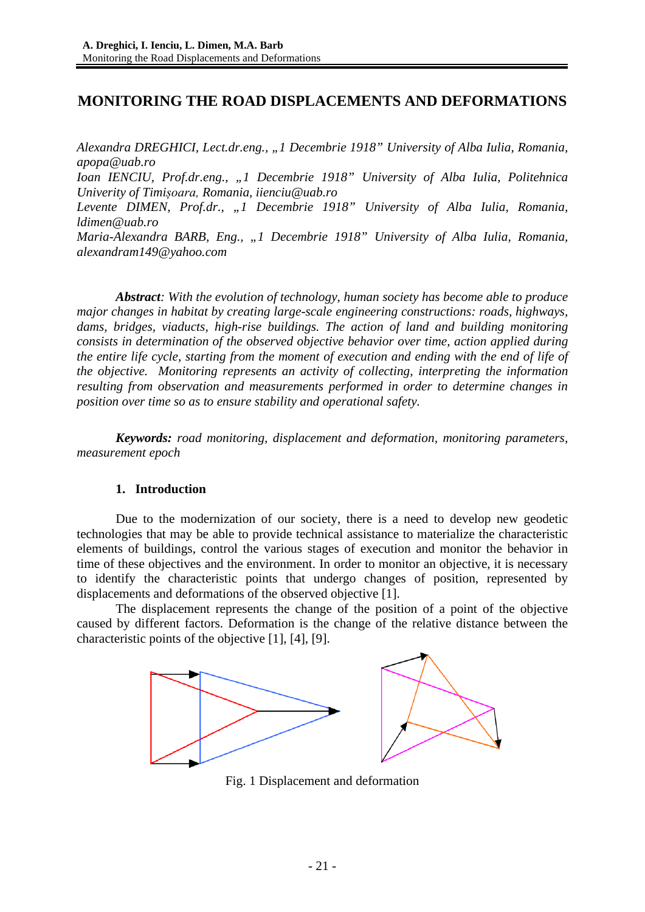# **MONITORING THE ROAD DISPLACEMENTS AND DEFORMATIONS**

*Alexandra DREGHICI, Lect.dr.eng., "1 Decembrie 1918" University of Alba Iulia, Romania, apopa@uab.ro*

*Ioan IENCIU, Prof.dr.eng., "1 Decembrie 1918" University of Alba Iulia, Politehnica Univerity of Timișoara, Romania, iienciu@uab.ro*

*Levente DIMEN, Prof.dr., "1 Decembrie 1918" University of Alba Iulia, Romania, ldimen@uab.ro*

*Maria-Alexandra BARB, Eng., "1 Decembrie 1918" University of Alba Iulia, Romania, alexandram149@yahoo.com*

*Abstract: With the evolution of technology, human society has become able to produce major changes in habitat by creating large-scale engineering constructions: roads, highways, dams, bridges, viaducts, high-rise buildings. The action of land and building monitoring consists in determination of the observed objective behavior over time, action applied during the entire life cycle, starting from the moment of execution and ending with the end of life of the objective. Monitoring represents an activity of collecting, interpreting the information resulting from observation and measurements performed in order to determine changes in position over time so as to ensure stability and operational safety.*

*Keywords: road monitoring, displacement and deformation, monitoring parameters, measurement epoch*

#### **1. Introduction**

Due to the modernization of our society, there is a need to develop new geodetic technologies that may be able to provide technical assistance to materialize the characteristic elements of buildings, control the various stages of execution and monitor the behavior in time of these objectives and the environment. In order to monitor an objective, it is necessary to identify the characteristic points that undergo changes of position, represented by displacements and deformations of the observed objective [1].

The displacement represents the change of the position of a point of the objective caused by different factors. Deformation is the change of the relative distance between the characteristic points of the objective [1], [4], [9].



Fig. 1 Displacement and deformation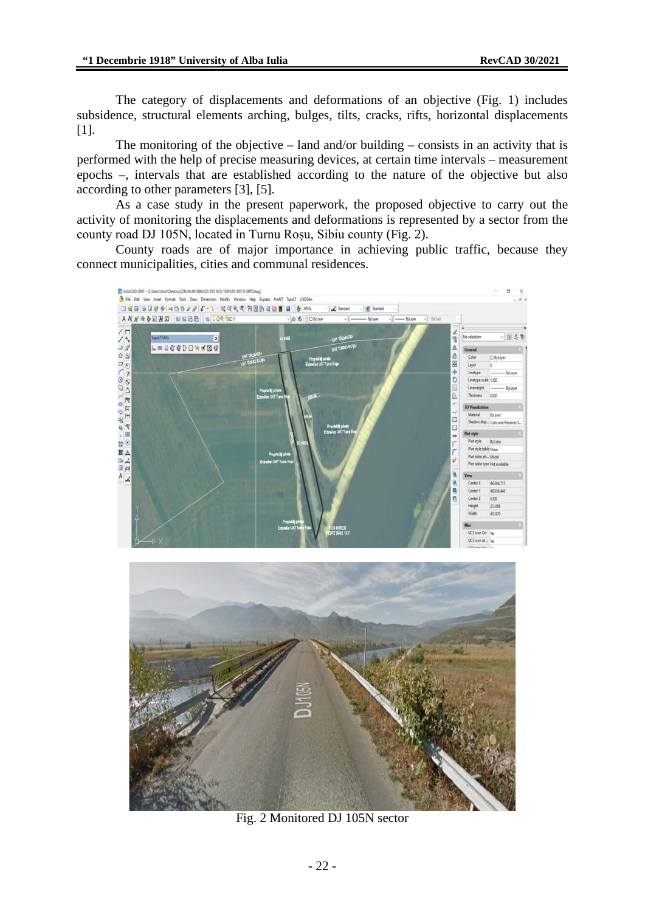The category of displacements and deformations of an objective (Fig. 1) includes subsidence, structural elements arching, bulges, tilts, cracks, rifts, horizontal displacements [1].

The monitoring of the objective  $-$  land and/or building  $-$  consists in an activity that is performed with the help of precise measuring devices, at certain time intervals – measurement epochs –, intervals that are established according to the nature of the objective but also according to other parameters [3], [5].

As a case study in the present paperwork, the proposed objective to carry out the activity of monitoring the displacements and deformations is represented by a sector from the county road DJ 105N, located in Turnu Roșu, Sibiu county (Fig. 2).

County roads are of major importance in achieving public traffic, because they connect municipalities, cities and communal residences.





Fig. 2 Monitored DJ 105N sector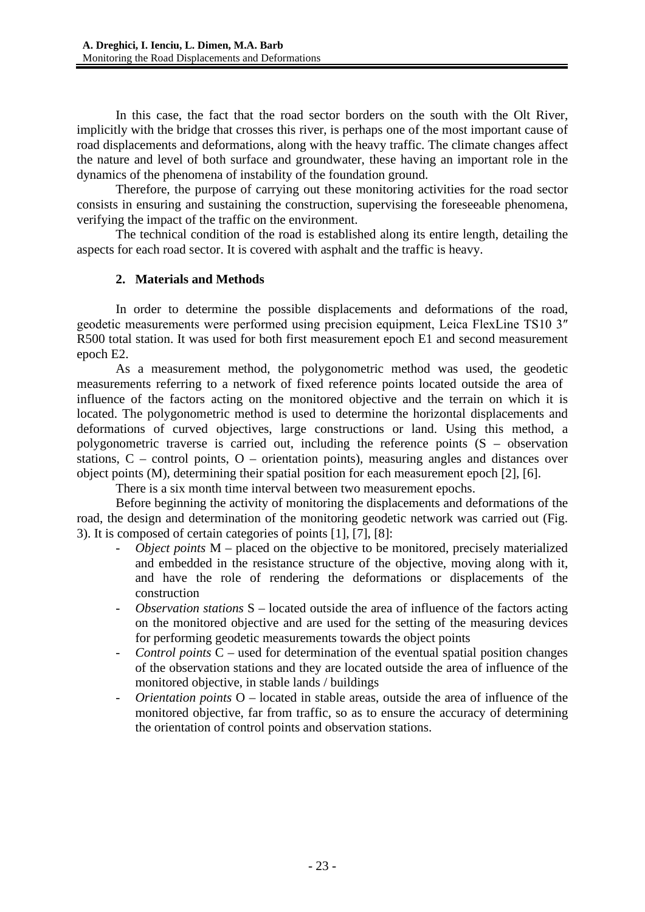In this case, the fact that the road sector borders on the south with the Olt River, implicitly with the bridge that crosses this river, is perhaps one of the most important cause of road displacements and deformations, along with the heavy traffic. The climate changes affect the nature and level of both surface and groundwater, these having an important role in the dynamics of the phenomena of instability of the foundation ground.

Therefore, the purpose of carrying out these monitoring activities for the road sector consists in ensuring and sustaining the construction, supervising the foreseeable phenomena, verifying the impact of the traffic on the environment.

The technical condition of the road is established along its entire length, detailing the aspects for each road sector. It is covered with asphalt and the traffic is heavy.

## **2. Materials and Methods**

In order to determine the possible displacements and deformations of the road, geodetic measurements were performed using precision equipment, Leica FlexLine TS10 3″ R500 total station. It was used for both first measurement epoch E1 and second measurement epoch E2.

As a measurement method, the polygonometric method was used, the geodetic measurements referring to a network of fixed reference points located outside the area of influence of the factors acting on the monitored objective and the terrain on which it is located. The polygonometric method is used to determine the horizontal displacements and deformations of curved objectives, large constructions or land. Using this method, a polygonometric traverse is carried out, including the reference points (S – observation stations, C – control points, O – orientation points), measuring angles and distances over object points (M), determining their spatial position for each measurement epoch [2], [6].

There is a six month time interval between two measurement epochs.

Before beginning the activity of monitoring the displacements and deformations of the road, the design and determination of the monitoring geodetic network was carried out (Fig. 3). It is composed of certain categories of points [1], [7], [8]:

- *Object points* M placed on the objective to be monitored, precisely materialized and embedded in the resistance structure of the objective, moving along with it, and have the role of rendering the deformations or displacements of the construction
- *Observation stations* S located outside the area of influence of the factors acting on the monitored objective and are used for the setting of the measuring devices for performing geodetic measurements towards the object points
- *Control points* C used for determination of the eventual spatial position changes of the observation stations and they are located outside the area of influence of the monitored objective, in stable lands / buildings
- *Orientation points* O located in stable areas, outside the area of influence of the monitored objective, far from traffic, so as to ensure the accuracy of determining the orientation of control points and observation stations.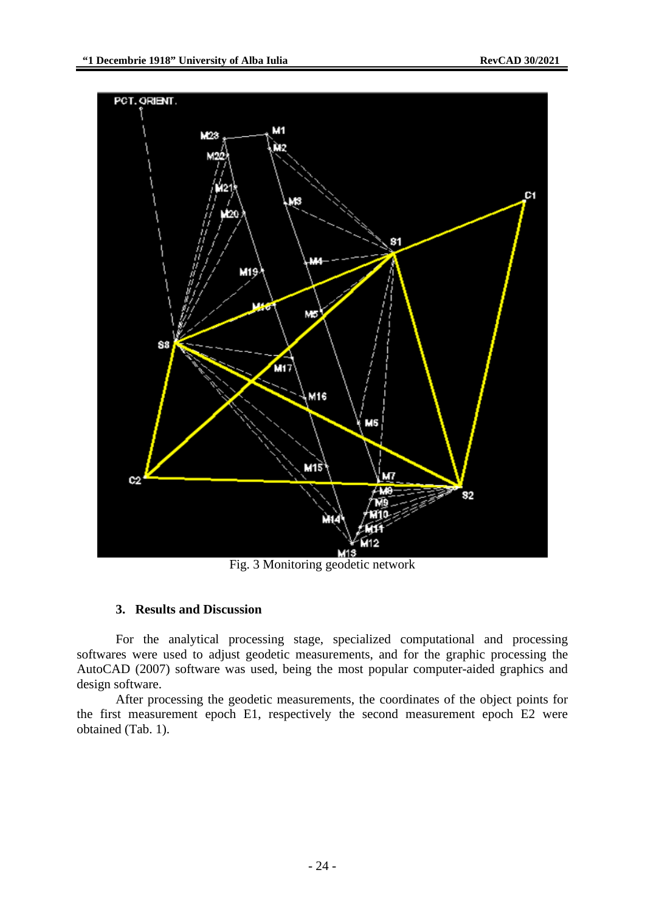

Fig. 3 Monitoring geodetic network

#### **3. Results and Discussion**

For the analytical processing stage, specialized computational and processing softwares were used to adjust geodetic measurements, and for the graphic processing the AutoCAD (2007) software was used, being the most popular computer-aided graphics and design software.

After processing the geodetic measurements, the coordinates of the object points for the first measurement epoch E1, respectively the second measurement epoch E2 were obtained (Tab. 1).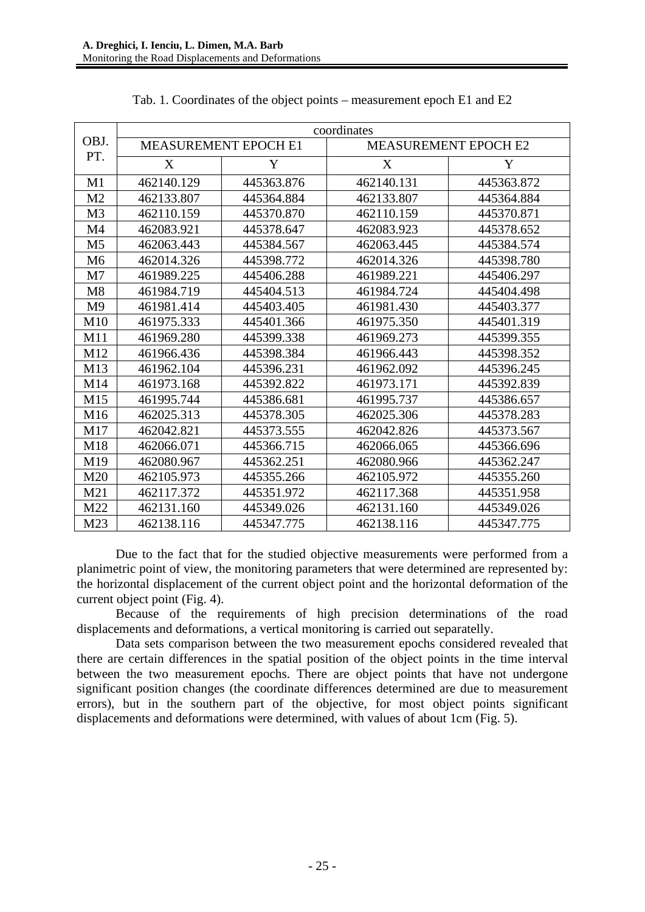|                | coordinates                 |            |                             |            |  |  |  |  |  |  |  |  |  |
|----------------|-----------------------------|------------|-----------------------------|------------|--|--|--|--|--|--|--|--|--|
| OBJ.           | <b>MEASUREMENT EPOCH E1</b> |            | <b>MEASUREMENT EPOCH E2</b> |            |  |  |  |  |  |  |  |  |  |
| PT.            | X                           | Y          | X                           | Y          |  |  |  |  |  |  |  |  |  |
| M1             | 462140.129                  | 445363.876 | 462140.131                  | 445363.872 |  |  |  |  |  |  |  |  |  |
| M <sub>2</sub> | 462133.807                  | 445364.884 | 462133.807                  | 445364.884 |  |  |  |  |  |  |  |  |  |
| M <sub>3</sub> | 462110.159                  | 445370.870 | 462110.159                  | 445370.871 |  |  |  |  |  |  |  |  |  |
| M4             | 462083.921                  | 445378.647 | 462083.923                  | 445378.652 |  |  |  |  |  |  |  |  |  |
| M <sub>5</sub> | 462063.443                  | 445384.567 | 462063.445                  | 445384.574 |  |  |  |  |  |  |  |  |  |
| M <sub>6</sub> | 462014.326                  | 445398.772 | 462014.326                  | 445398.780 |  |  |  |  |  |  |  |  |  |
| M7             | 461989.225                  | 445406.288 | 461989.221                  | 445406.297 |  |  |  |  |  |  |  |  |  |
| M8             | 461984.719                  | 445404.513 | 461984.724                  | 445404.498 |  |  |  |  |  |  |  |  |  |
| M <sub>9</sub> | 461981.414                  | 445403.405 | 461981.430                  | 445403.377 |  |  |  |  |  |  |  |  |  |
| M10            | 461975.333                  | 445401.366 | 461975.350                  | 445401.319 |  |  |  |  |  |  |  |  |  |
| M11            | 461969.280                  | 445399.338 | 461969.273                  | 445399.355 |  |  |  |  |  |  |  |  |  |
| M12            | 461966.436                  | 445398.384 | 461966.443                  | 445398.352 |  |  |  |  |  |  |  |  |  |
| M13            | 461962.104                  | 445396.231 | 461962.092                  | 445396.245 |  |  |  |  |  |  |  |  |  |
| M14            | 461973.168                  | 445392.822 | 461973.171                  | 445392.839 |  |  |  |  |  |  |  |  |  |
| M15            | 461995.744                  | 445386.681 | 461995.737                  | 445386.657 |  |  |  |  |  |  |  |  |  |
| M16            | 462025.313                  | 445378.305 | 462025.306                  | 445378.283 |  |  |  |  |  |  |  |  |  |
| M17            | 462042.821                  | 445373.555 | 462042.826                  | 445373.567 |  |  |  |  |  |  |  |  |  |
| M18            | 462066.071                  | 445366.715 | 462066.065                  | 445366.696 |  |  |  |  |  |  |  |  |  |
| M19            | 462080.967                  | 445362.251 | 462080.966                  | 445362.247 |  |  |  |  |  |  |  |  |  |
| M20            | 462105.973                  | 445355.266 | 462105.972                  | 445355.260 |  |  |  |  |  |  |  |  |  |
| M21            | 462117.372                  | 445351.972 | 462117.368                  | 445351.958 |  |  |  |  |  |  |  |  |  |
| M22            | 462131.160                  | 445349.026 | 462131.160                  | 445349.026 |  |  |  |  |  |  |  |  |  |
| M23            | 462138.116                  | 445347.775 | 462138.116                  | 445347.775 |  |  |  |  |  |  |  |  |  |

| Tab. 1. Coordinates of the object points – measurement epoch E1 and E2 |  |  |  |  |  |  |  |  |  |
|------------------------------------------------------------------------|--|--|--|--|--|--|--|--|--|
|------------------------------------------------------------------------|--|--|--|--|--|--|--|--|--|

Due to the fact that for the studied objective measurements were performed from a planimetric point of view, the monitoring parameters that were determined are represented by: the horizontal displacement of the current object point and the horizontal deformation of the current object point (Fig. 4).

Because of the requirements of high precision determinations of the road displacements and deformations, a vertical monitoring is carried out separatelly.

Data sets comparison between the two measurement epochs considered revealed that there are certain differences in the spatial position of the object points in the time interval between the two measurement epochs. There are object points that have not undergone significant position changes (the coordinate differences determined are due to measurement errors), but in the southern part of the objective, for most object points significant displacements and deformations were determined, with values of about 1cm (Fig. 5).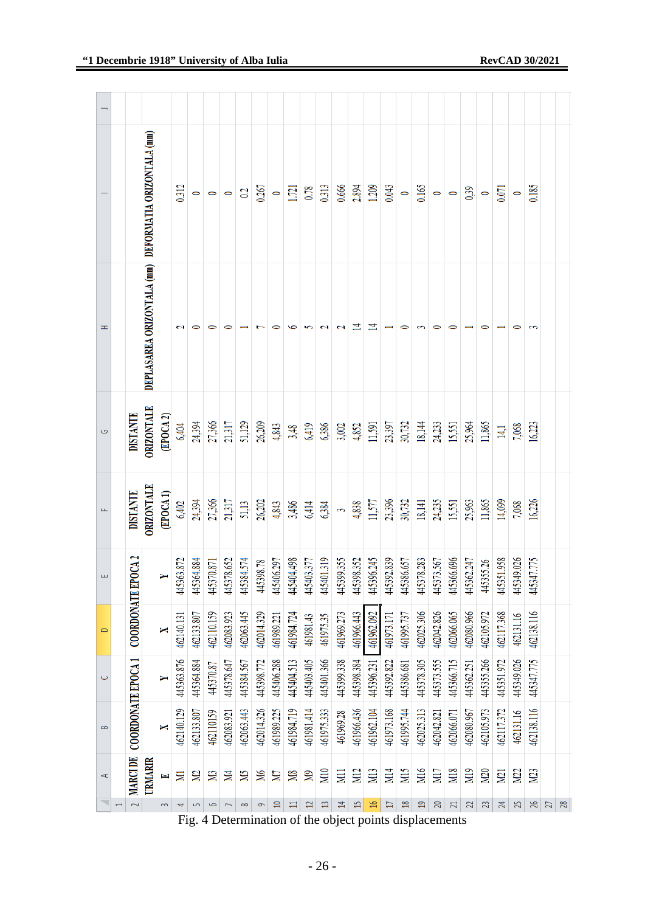|                      |                           |                                                       |                       | 0.312      | $\circ$    | $\circ$    | $\circ$    | 0.2        | 0.267      | $\circ$    | 1.721      | 0.78            | 0.313                                                                     | 0.666                    | 2.894           | 1.209           | 0.043      | $\circ$         | 0.165          | $\circ$    | $\circ$         | 0,39           | $\circ$         | 0.071           | $\circ$          | 0.185           |                 |
|----------------------|---------------------------|-------------------------------------------------------|-----------------------|------------|------------|------------|------------|------------|------------|------------|------------|-----------------|---------------------------------------------------------------------------|--------------------------|-----------------|-----------------|------------|-----------------|----------------|------------|-----------------|----------------|-----------------|-----------------|------------------|-----------------|-----------------|
| Ŧ                    |                           | DEPLASAREA ORIZONTALA (mm) DEFORMATIA ORIZONTALA (mm) |                       | 2          |            |            |            |            |            | 0          | ∽          |                 |                                                                           |                          | 14              | ⋣               |            | 0               |                |            |                 |                |                 |                 |                  |                 |                 |
| Ġ                    | <b>DISTANTE</b>           | ORIZONTALE                                            | (EPOCA <sub>2</sub> ) | 6,404      | 24,394     | 27,366     | 21,317     | 51,129     | 26,209     | 4,843      | 3,48       | 6,419           | 6,386                                                                     | 3,002                    | 4,852           | 11,591          | 23,397     | 30,732          | 18,144         | 24,233     | 15,551          | 25,964         | 11,865          | 14,1            | 7,068            | 16,223          |                 |
| щ                    | <b>DISTANTE</b>           | ORIZONTALE                                            | (EPOCA1)              | 6,402      | 24,394     | 27,366     | 21,317     | $51,13$    | 26,202     | 4,843      | 3,486      | 6,414           | 6,384                                                                     | $\ddot{\phantom{0}}$     | 4,838           | $11,577$        | 23,396     | 30,732          | 18,141         | 24,235     | 15,551          | 25,963         | 11,865          | 14,099          | 7,068            | 16,226          |                 |
| щ                    | <b>COORDONATE EPOCA 2</b> |                                                       |                       | 445363.872 | 445364.884 | 445370.871 | 445378.652 | 445384.574 | 445398.78  | 445406.297 | 445404.498 | 445403.377      | 445401.319                                                                | 445399.355               | 445398.352      | 445396.245      | 445392.839 | 445386.657      | 445378.283     | 445373.567 | 445366.696      | 445362.247     | 445355.26       | 445351.958      | 445349.026       | 17.775<br>44534 |                 |
| $\Rightarrow$        |                           |                                                       | X                     | 462140.131 | 462133.807 | 462110.159 | 462083.923 | 462063.445 | 462014.329 | 461989.221 | 461984.724 | 461981.43       | 461975.35                                                                 | 461969.273               | 461966.443      | 461962.092      | 461973.171 | 461995.737      | 462025.306     | 462042.826 | 462066.065      | 462080.966     | 462105.972      | 462117.368      | 462131.16        | 462138.116      |                 |
| $\circ$              |                           |                                                       | Y                     | 445363.876 | 445364.884 | 445370.87  | 445378.647 | 445384.567 | 445398.772 | 445406.288 | 445404.513 | 445403.405      | 445401.366                                                                | 445399.338               | 445398.384      | 445396.231      | 445392.822 | 445386.681      | 445378.305     | 445373.555 | 445366.715      | 445362.251     | 445355.266      | 445351.972      | 445349.026       | 445347.775      |                 |
| $\infty$             | COORDONATE EPOCA1         |                                                       | X                     | 462140.129 | 462133.807 | 462110159  | 462083.921 | 462063.443 | 462014.326 | 461989.225 | 461984.719 | 461981.414      | 461975.333                                                                | 461969.28                | 461966.436      | 461962.104      | 461973.168 | 461995.744      | 462025.313     | 462042.821 | 462066.071      | 462080.967     | 462105.973      | 462117.372      | 462131.16        | 462138.116      |                 |
| $\blacktriangleleft$ | <b>MARCI DE</b>           | URMARIR                                               | Ł                     | Σ          | <b>Z</b>   | <b>S</b>   | N4         | Š          | Ж          | ZД         | <b>SIV</b> | $\mathbb{S}$    | <b>M10</b>                                                                | ΣË                       | <b>M12</b>      | M <sub>13</sub> | M14        | M <sub>15</sub> | M16            | M17        | <b>M18</b>      | M19            | M <sub>20</sub> | M <sub>21</sub> | N <sub>2</sub> 2 | N <sub>23</sub> |                 |
| ◥                    | $\overline{2}$            |                                                       | 3                     | 4          | 5          | $\bullet$  |            | $\infty$   | 9          | $\square$  | $\Xi$      | $\overline{12}$ | $\mathfrak{a}$<br>Fig. 4 Determination of the object points displacements | $\overline{\mathcal{A}}$ | $\overline{13}$ | $\Xi$           | $\Box$     | $\frac{8}{2}$   | $\overline{a}$ | 20         | $\overline{21}$ | $\overline{2}$ | 23              | 24              | 25               | 26              | $\frac{27}{28}$ |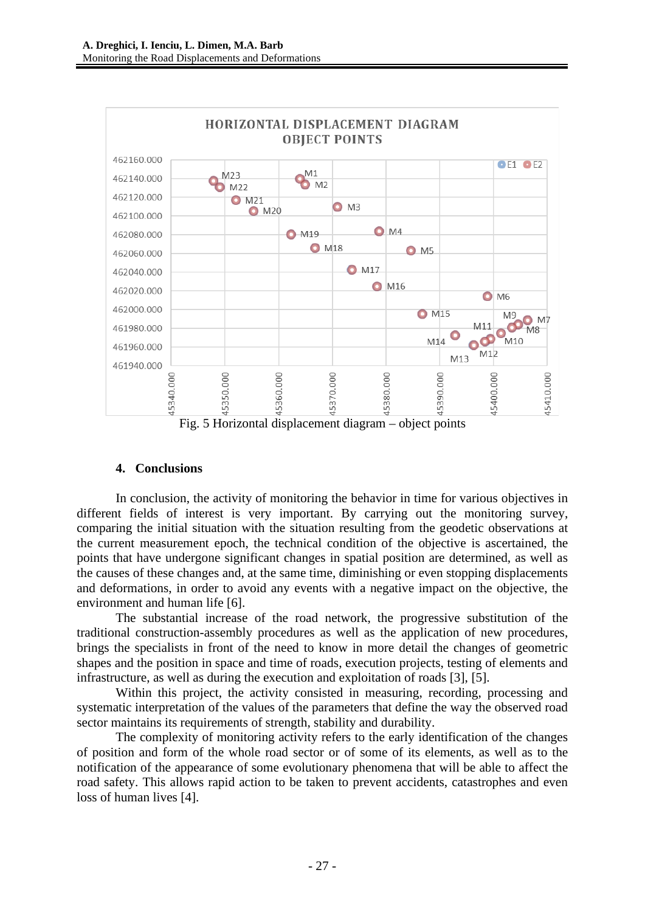

Fig. 5 Horizontal displacement diagram – object points

## **4. Conclusions**

In conclusion, the activity of monitoring the behavior in time for various objectives in different fields of interest is very important. By carrying out the monitoring survey, comparing the initial situation with the situation resulting from the geodetic observations at the current measurement epoch, the technical condition of the objective is ascertained, the points that have undergone significant changes in spatial position are determined, as well as the causes of these changes and, at the same time, diminishing or even stopping displacements and deformations, in order to avoid any events with a negative impact on the objective, the environment and human life [6].

The substantial increase of the road network, the progressive substitution of the traditional construction-assembly procedures as well as the application of new procedures, brings the specialists in front of the need to know in more detail the changes of geometric shapes and the position in space and time of roads, execution projects, testing of elements and infrastructure, as well as during the execution and exploitation of roads [3], [5].

Within this project, the activity consisted in measuring, recording, processing and systematic interpretation of the values of the parameters that define the way the observed road sector maintains its requirements of strength, stability and durability.

The complexity of monitoring activity refers to the early identification of the changes of position and form of the whole road sector or of some of its elements, as well as to the notification of the appearance of some evolutionary phenomena that will be able to affect the road safety. This allows rapid action to be taken to prevent accidents, catastrophes and even loss of human lives [4].